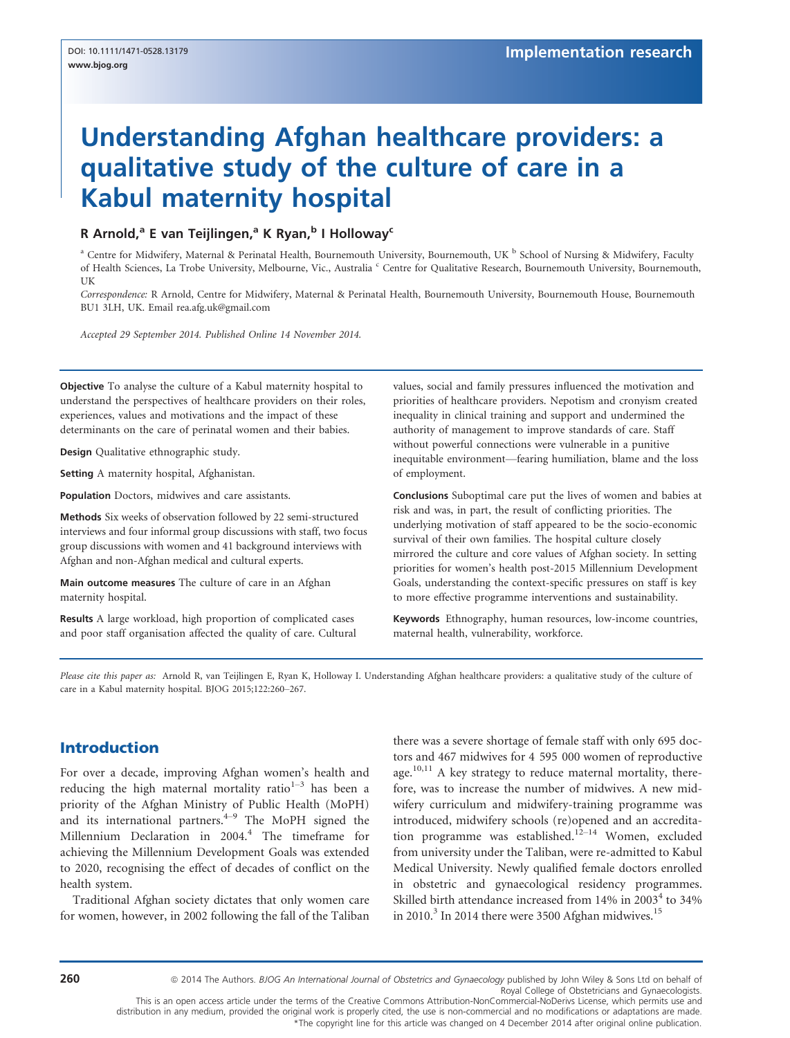# Understanding Afghan healthcare providers: a qualitative study of the culture of care in a Kabul maternity hospital

# R Arnold,<sup>a</sup> E van Teijlingen,<sup>a</sup> K Ryan,<sup>b</sup> I Holloway<sup>c</sup>

<sup>a</sup> Centre for Midwifery, Maternal & Perinatal Health, Bournemouth University, Bournemouth, UK <sup>b</sup> School of Nursing & Midwifery, Faculty of Health Sciences, La Trobe University, Melbourne, Vic., Australia <sup>c</sup> Centre for Qualitative Research, Bournemouth University, Bournemouth, UK

Correspondence: R Arnold, Centre for Midwifery, Maternal & Perinatal Health, Bournemouth University, Bournemouth House, Bournemouth BU1 3LH, UK. Email rea.afg.uk@gmail.com

Accepted 29 September 2014. Published Online 14 November 2014.

Objective To analyse the culture of a Kabul maternity hospital to understand the perspectives of healthcare providers on their roles, experiences, values and motivations and the impact of these determinants on the care of perinatal women and their babies.

Design Qualitative ethnographic study.

Setting A maternity hospital, Afghanistan.

Population Doctors, midwives and care assistants.

Methods Six weeks of observation followed by 22 semi-structured interviews and four informal group discussions with staff, two focus group discussions with women and 41 background interviews with Afghan and non-Afghan medical and cultural experts.

Main outcome measures The culture of care in an Afghan maternity hospital.

Results A large workload, high proportion of complicated cases and poor staff organisation affected the quality of care. Cultural

values, social and family pressures influenced the motivation and priorities of healthcare providers. Nepotism and cronyism created inequality in clinical training and support and undermined the authority of management to improve standards of care. Staff without powerful connections were vulnerable in a punitive inequitable environment—fearing humiliation, blame and the loss of employment.

Conclusions Suboptimal care put the lives of women and babies at risk and was, in part, the result of conflicting priorities. The underlying motivation of staff appeared to be the socio-economic survival of their own families. The hospital culture closely mirrored the culture and core values of Afghan society. In setting priorities for women's health post-2015 Millennium Development Goals, understanding the context-specific pressures on staff is key to more effective programme interventions and sustainability.

Keywords Ethnography, human resources, low-income countries, maternal health, vulnerability, workforce.

Please cite this paper as: Arnold R, van Teijlingen E, Ryan K, Holloway I. Understanding Afghan healthcare providers: a qualitative study of the culture of care in a Kabul maternity hospital. BJOG 2015;122:260–267.

# Introduction

For over a decade, improving Afghan women's health and reducing the high maternal mortality ratio $1-3$  has been a priority of the Afghan Ministry of Public Health (MoPH) and its international partners. $4-9$  The MoPH signed the Millennium Declaration in 2004.<sup>4</sup> The timeframe for achieving the Millennium Development Goals was extended to 2020, recognising the effect of decades of conflict on the health system.

Traditional Afghan society dictates that only women care for women, however, in 2002 following the fall of the Taliban

there was a severe shortage of female staff with only 695 doctors and 467 midwives for 4 595 000 women of reproductive age.<sup>10,11</sup> A key strategy to reduce maternal mortality, therefore, was to increase the number of midwives. A new midwifery curriculum and midwifery-training programme was introduced, midwifery schools (re)opened and an accreditation programme was established.<sup>12–14</sup> Women, excluded from university under the Taliban, were re-admitted to Kabul Medical University. Newly qualified female doctors enrolled in obstetric and gynaecological residency programmes. Skilled birth attendance increased from 14% in 2003<sup>4</sup> to 34% in 2010. $3$  In 2014 there were 3500 Afghan midwives.<sup>15</sup>

\*The copyright line for this article was changed on 4 December 2014 after original online publication. This is an open access article under the terms of the [Creative Commons Attribution-NonCommercial-NoDerivs](http://creativecommons.org/licenses/by-nc-nd/3.0/) License, which permits use and distribution in any medium, provided the original work is properly cited, the use is non-commercial and no modifications or adaptations are made.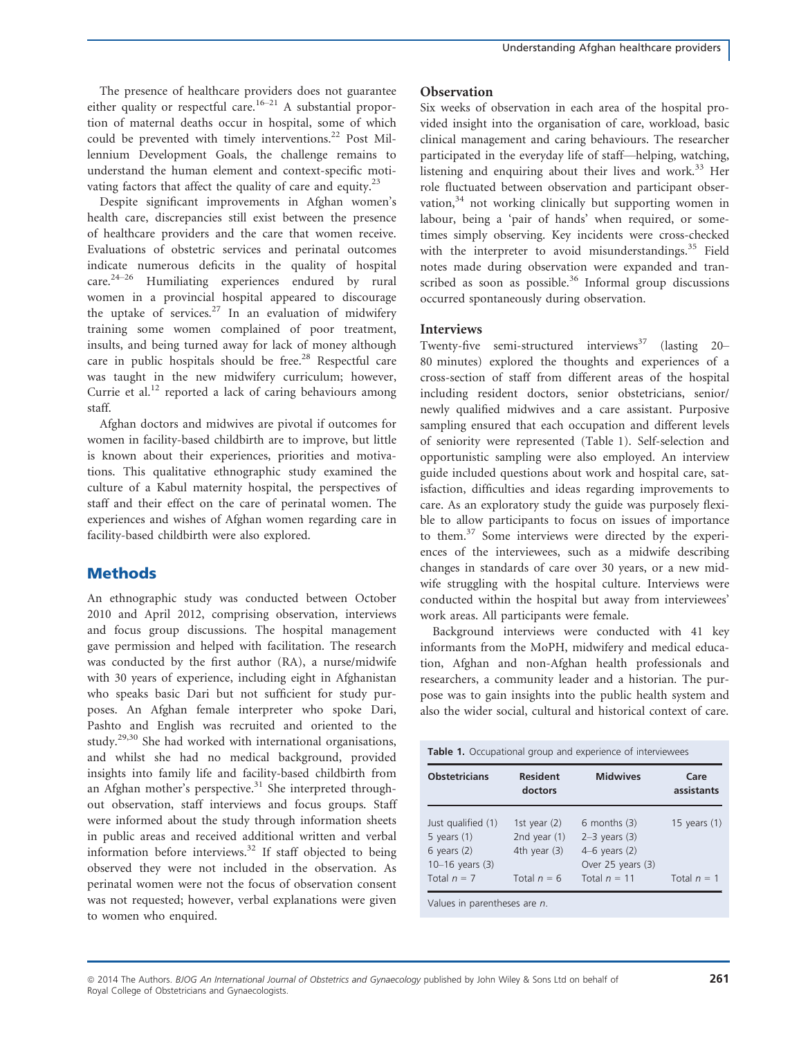The presence of healthcare providers does not guarantee either quality or respectful care.<sup>16–21</sup> A substantial proportion of maternal deaths occur in hospital, some of which could be prevented with timely interventions.<sup>22</sup> Post Millennium Development Goals, the challenge remains to understand the human element and context-specific motivating factors that affect the quality of care and equity. $2<sup>3</sup>$ 

Despite significant improvements in Afghan women's health care, discrepancies still exist between the presence of healthcare providers and the care that women receive. Evaluations of obstetric services and perinatal outcomes indicate numerous deficits in the quality of hospital care.24–<sup>26</sup> Humiliating experiences endured by rural women in a provincial hospital appeared to discourage the uptake of services.<sup>27</sup> In an evaluation of midwifery training some women complained of poor treatment, insults, and being turned away for lack of money although care in public hospitals should be free.<sup>28</sup> Respectful care was taught in the new midwifery curriculum; however, Currie et al.<sup>12</sup> reported a lack of caring behaviours among staff.

Afghan doctors and midwives are pivotal if outcomes for women in facility-based childbirth are to improve, but little is known about their experiences, priorities and motivations. This qualitative ethnographic study examined the culture of a Kabul maternity hospital, the perspectives of staff and their effect on the care of perinatal women. The experiences and wishes of Afghan women regarding care in facility-based childbirth were also explored.

# **Methods**

An ethnographic study was conducted between October 2010 and April 2012, comprising observation, interviews and focus group discussions. The hospital management gave permission and helped with facilitation. The research was conducted by the first author (RA), a nurse/midwife with 30 years of experience, including eight in Afghanistan who speaks basic Dari but not sufficient for study purposes. An Afghan female interpreter who spoke Dari, Pashto and English was recruited and oriented to the study.29,30 She had worked with international organisations, and whilst she had no medical background, provided insights into family life and facility-based childbirth from an Afghan mother's perspective.<sup>31</sup> She interpreted throughout observation, staff interviews and focus groups. Staff were informed about the study through information sheets in public areas and received additional written and verbal information before interviews.<sup>32</sup> If staff objected to being observed they were not included in the observation. As perinatal women were not the focus of observation consent was not requested; however, verbal explanations were given to women who enquired.

#### **Observation**

Six weeks of observation in each area of the hospital provided insight into the organisation of care, workload, basic clinical management and caring behaviours. The researcher participated in the everyday life of staff—helping, watching, listening and enquiring about their lives and work.<sup>33</sup> Her role fluctuated between observation and participant observation,<sup>34</sup> not working clinically but supporting women in labour, being a 'pair of hands' when required, or sometimes simply observing. Key incidents were cross-checked with the interpreter to avoid misunderstandings. $35$  Field notes made during observation were expanded and transcribed as soon as possible. $36$  Informal group discussions occurred spontaneously during observation.

#### Interviews

Twenty-five semi-structured interviews<sup>37</sup> (lasting 20– 80 minutes) explored the thoughts and experiences of a cross-section of staff from different areas of the hospital including resident doctors, senior obstetricians, senior/ newly qualified midwives and a care assistant. Purposive sampling ensured that each occupation and different levels of seniority were represented (Table 1). Self-selection and opportunistic sampling were also employed. An interview guide included questions about work and hospital care, satisfaction, difficulties and ideas regarding improvements to care. As an exploratory study the guide was purposely flexible to allow participants to focus on issues of importance to them.<sup>37</sup> Some interviews were directed by the experiences of the interviewees, such as a midwife describing changes in standards of care over 30 years, or a new midwife struggling with the hospital culture. Interviews were conducted within the hospital but away from interviewees' work areas. All participants were female.

Background interviews were conducted with 41 key informants from the MoPH, midwifery and medical education, Afghan and non-Afghan health professionals and researchers, a community leader and a historian. The purpose was to gain insights into the public health system and also the wider social, cultural and historical context of care.

| <b>Table 1.</b> Occupational group and experience of interviewees          |                                                    |                                                                                 |                    |
|----------------------------------------------------------------------------|----------------------------------------------------|---------------------------------------------------------------------------------|--------------------|
| <b>Obstetricians</b>                                                       | <b>Resident</b><br>doctors                         | <b>Midwives</b>                                                                 | Care<br>assistants |
| Just qualified (1)<br>5 years $(1)$<br>6 years $(2)$<br>10 $-16$ years (3) | 1st year $(2)$<br>2nd year $(1)$<br>4th year $(3)$ | $6$ months $(3)$<br>$2-3$ years $(3)$<br>$4-6$ years $(2)$<br>Over 25 years (3) | 15 years $(1)$     |
| Total $n = 7$                                                              | Total $n = 6$                                      | Total $n = 11$                                                                  | Total $n = 1$      |

Values in parentheses are n.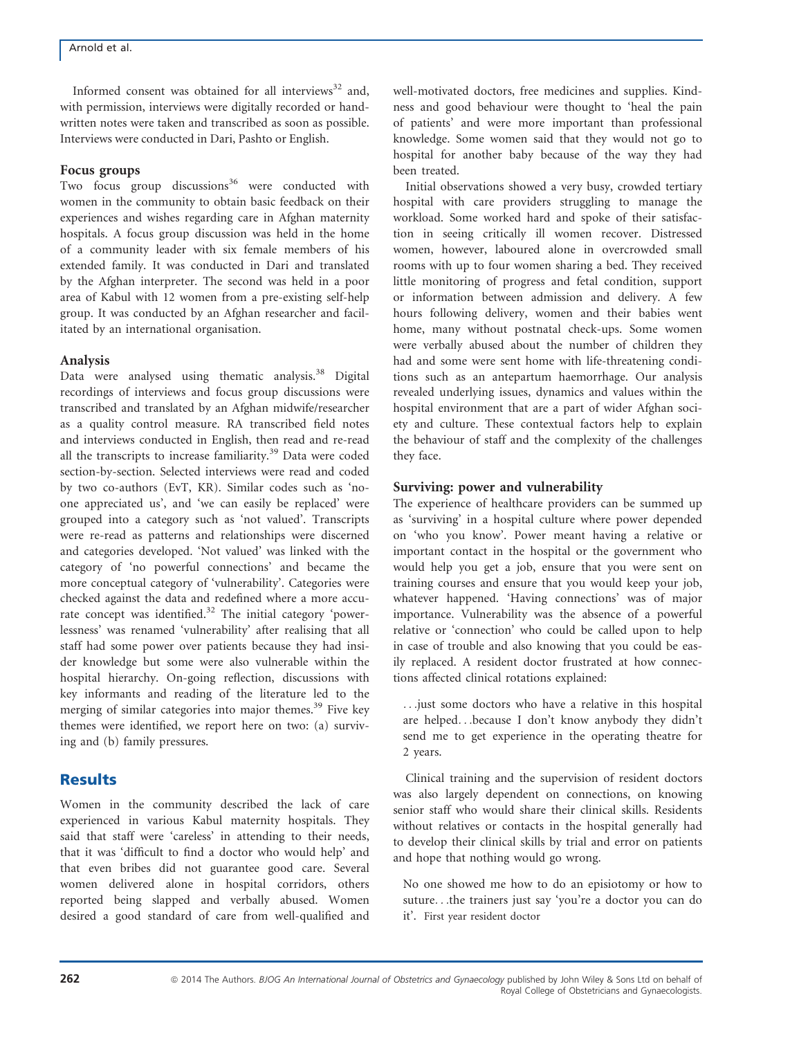Informed consent was obtained for all interviews $32$  and, with permission, interviews were digitally recorded or handwritten notes were taken and transcribed as soon as possible. Interviews were conducted in Dari, Pashto or English.

### Focus groups

Two focus group discussions<sup>36</sup> were conducted with women in the community to obtain basic feedback on their experiences and wishes regarding care in Afghan maternity hospitals. A focus group discussion was held in the home of a community leader with six female members of his extended family. It was conducted in Dari and translated by the Afghan interpreter. The second was held in a poor area of Kabul with 12 women from a pre-existing self-help group. It was conducted by an Afghan researcher and facilitated by an international organisation.

### Analysis

Data were analysed using thematic analysis.<sup>38</sup> Digital recordings of interviews and focus group discussions were transcribed and translated by an Afghan midwife/researcher as a quality control measure. RA transcribed field notes and interviews conducted in English, then read and re-read all the transcripts to increase familiarity. $39$  Data were coded section-by-section. Selected interviews were read and coded by two co-authors (EvT, KR). Similar codes such as 'noone appreciated us', and 'we can easily be replaced' were grouped into a category such as 'not valued'. Transcripts were re-read as patterns and relationships were discerned and categories developed. 'Not valued' was linked with the category of 'no powerful connections' and became the more conceptual category of 'vulnerability'. Categories were checked against the data and redefined where a more accurate concept was identified. $32$  The initial category 'powerlessness' was renamed 'vulnerability' after realising that all staff had some power over patients because they had insider knowledge but some were also vulnerable within the hospital hierarchy. On-going reflection, discussions with key informants and reading of the literature led to the merging of similar categories into major themes.<sup>39</sup> Five key themes were identified, we report here on two: (a) surviving and (b) family pressures.

# **Results**

Women in the community described the lack of care experienced in various Kabul maternity hospitals. They said that staff were 'careless' in attending to their needs, that it was 'difficult to find a doctor who would help' and that even bribes did not guarantee good care. Several women delivered alone in hospital corridors, others reported being slapped and verbally abused. Women desired a good standard of care from well-qualified and well-motivated doctors, free medicines and supplies. Kindness and good behaviour were thought to 'heal the pain of patients' and were more important than professional knowledge. Some women said that they would not go to hospital for another baby because of the way they had been treated.

Initial observations showed a very busy, crowded tertiary hospital with care providers struggling to manage the workload. Some worked hard and spoke of their satisfaction in seeing critically ill women recover. Distressed women, however, laboured alone in overcrowded small rooms with up to four women sharing a bed. They received little monitoring of progress and fetal condition, support or information between admission and delivery. A few hours following delivery, women and their babies went home, many without postnatal check-ups. Some women were verbally abused about the number of children they had and some were sent home with life-threatening conditions such as an antepartum haemorrhage. Our analysis revealed underlying issues, dynamics and values within the hospital environment that are a part of wider Afghan society and culture. These contextual factors help to explain the behaviour of staff and the complexity of the challenges they face.

### Surviving: power and vulnerability

The experience of healthcare providers can be summed up as 'surviving' in a hospital culture where power depended on 'who you know'. Power meant having a relative or important contact in the hospital or the government who would help you get a job, ensure that you were sent on training courses and ensure that you would keep your job, whatever happened. 'Having connections' was of major importance. Vulnerability was the absence of a powerful relative or 'connection' who could be called upon to help in case of trouble and also knowing that you could be easily replaced. A resident doctor frustrated at how connections affected clinical rotations explained:

...just some doctors who have a relative in this hospital are helped...because I don't know anybody they didn't send me to get experience in the operating theatre for 2 years.

Clinical training and the supervision of resident doctors was also largely dependent on connections, on knowing senior staff who would share their clinical skills. Residents without relatives or contacts in the hospital generally had to develop their clinical skills by trial and error on patients and hope that nothing would go wrong.

No one showed me how to do an episiotomy or how to suture...the trainers just say 'you're a doctor you can do it'. First year resident doctor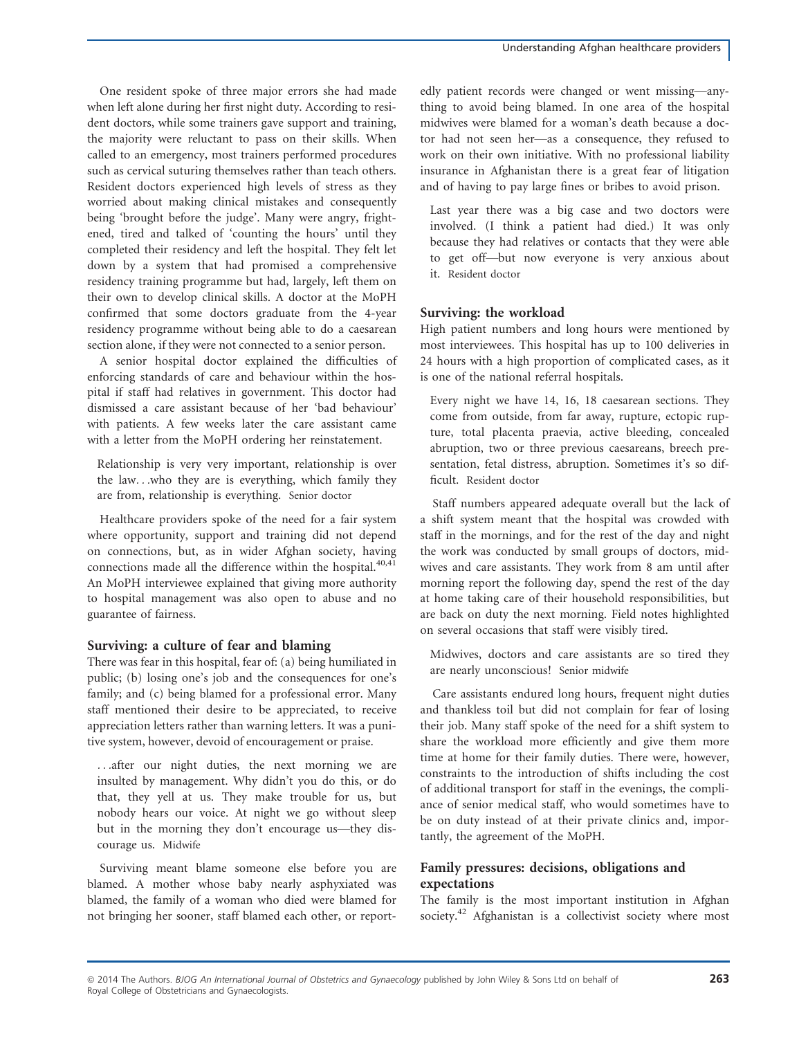One resident spoke of three major errors she had made when left alone during her first night duty. According to resident doctors, while some trainers gave support and training, the majority were reluctant to pass on their skills. When called to an emergency, most trainers performed procedures such as cervical suturing themselves rather than teach others. Resident doctors experienced high levels of stress as they worried about making clinical mistakes and consequently being 'brought before the judge'. Many were angry, frightened, tired and talked of 'counting the hours' until they completed their residency and left the hospital. They felt let down by a system that had promised a comprehensive residency training programme but had, largely, left them on their own to develop clinical skills. A doctor at the MoPH confirmed that some doctors graduate from the 4-year residency programme without being able to do a caesarean section alone, if they were not connected to a senior person.

A senior hospital doctor explained the difficulties of enforcing standards of care and behaviour within the hospital if staff had relatives in government. This doctor had dismissed a care assistant because of her 'bad behaviour' with patients. A few weeks later the care assistant came with a letter from the MoPH ordering her reinstatement.

Relationship is very very important, relationship is over the law...who they are is everything, which family they are from, relationship is everything. Senior doctor

Healthcare providers spoke of the need for a fair system where opportunity, support and training did not depend on connections, but, as in wider Afghan society, having connections made all the difference within the hospital.<sup>40,41</sup> An MoPH interviewee explained that giving more authority to hospital management was also open to abuse and no guarantee of fairness.

### Surviving: a culture of fear and blaming

There was fear in this hospital, fear of: (a) being humiliated in public; (b) losing one's job and the consequences for one's family; and (c) being blamed for a professional error. Many staff mentioned their desire to be appreciated, to receive appreciation letters rather than warning letters. It was a punitive system, however, devoid of encouragement or praise.

...after our night duties, the next morning we are insulted by management. Why didn't you do this, or do that, they yell at us. They make trouble for us, but nobody hears our voice. At night we go without sleep but in the morning they don't encourage us—they discourage us. Midwife

Surviving meant blame someone else before you are blamed. A mother whose baby nearly asphyxiated was blamed, the family of a woman who died were blamed for not bringing her sooner, staff blamed each other, or reportedly patient records were changed or went missing—anything to avoid being blamed. In one area of the hospital midwives were blamed for a woman's death because a doctor had not seen her—as a consequence, they refused to work on their own initiative. With no professional liability insurance in Afghanistan there is a great fear of litigation and of having to pay large fines or bribes to avoid prison.

Last year there was a big case and two doctors were involved. (I think a patient had died.) It was only because they had relatives or contacts that they were able to get off—but now everyone is very anxious about it. Resident doctor

### Surviving: the workload

High patient numbers and long hours were mentioned by most interviewees. This hospital has up to 100 deliveries in 24 hours with a high proportion of complicated cases, as it is one of the national referral hospitals.

Every night we have 14, 16, 18 caesarean sections. They come from outside, from far away, rupture, ectopic rupture, total placenta praevia, active bleeding, concealed abruption, two or three previous caesareans, breech presentation, fetal distress, abruption. Sometimes it's so difficult. Resident doctor

Staff numbers appeared adequate overall but the lack of a shift system meant that the hospital was crowded with staff in the mornings, and for the rest of the day and night the work was conducted by small groups of doctors, midwives and care assistants. They work from 8 am until after morning report the following day, spend the rest of the day at home taking care of their household responsibilities, but are back on duty the next morning. Field notes highlighted on several occasions that staff were visibly tired.

Midwives, doctors and care assistants are so tired they are nearly unconscious! Senior midwife

Care assistants endured long hours, frequent night duties and thankless toil but did not complain for fear of losing their job. Many staff spoke of the need for a shift system to share the workload more efficiently and give them more time at home for their family duties. There were, however, constraints to the introduction of shifts including the cost of additional transport for staff in the evenings, the compliance of senior medical staff, who would sometimes have to be on duty instead of at their private clinics and, importantly, the agreement of the MoPH.

### Family pressures: decisions, obligations and expectations

The family is the most important institution in Afghan society.<sup>42</sup> Afghanistan is a collectivist society where most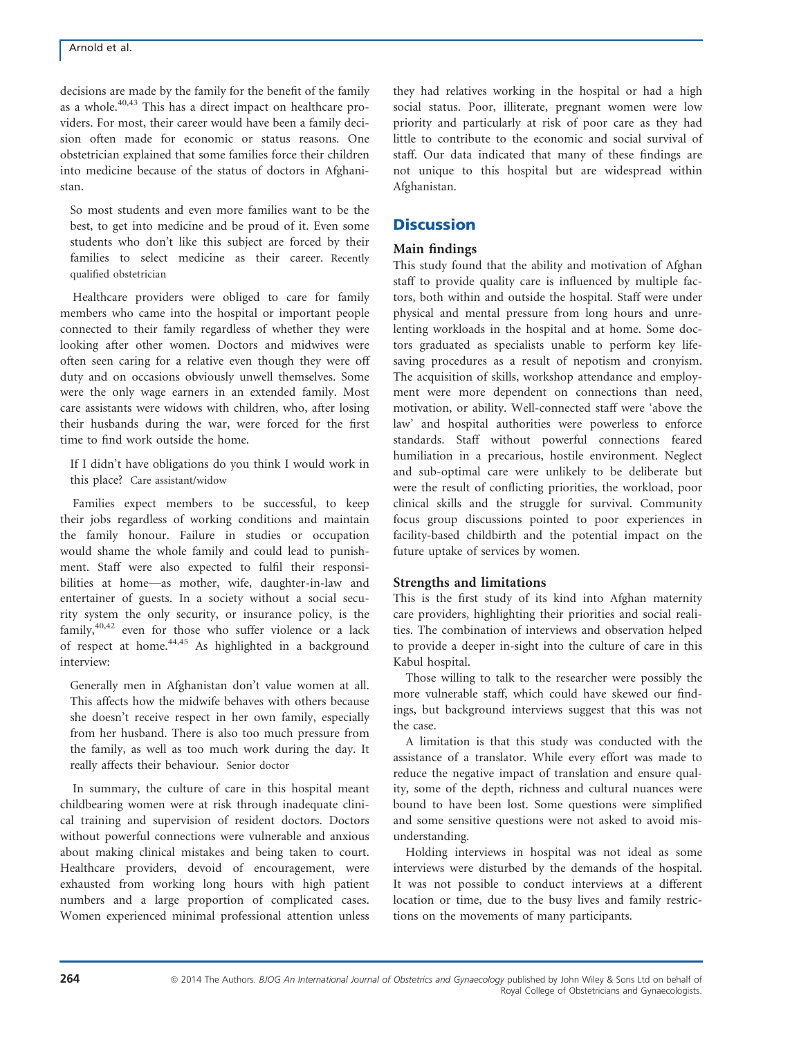decisions are made by the family for the benefit of the family as a whole.40,43 This has a direct impact on healthcare providers. For most, their career would have been a family decision often made for economic or status reasons. One obstetrician explained that some families force their children into medicine because of the status of doctors in Afghanistan.

So most students and even more families want to be the best, to get into medicine and be proud of it. Even some students who don't like this subject are forced by their families to select medicine as their career. Recently qualified obstetrician

Healthcare providers were obliged to care for family members who came into the hospital or important people connected to their family regardless of whether they were looking after other women. Doctors and midwives were often seen caring for a relative even though they were off duty and on occasions obviously unwell themselves. Some were the only wage earners in an extended family. Most care assistants were widows with children, who, after losing their husbands during the war, were forced for the first time to find work outside the home.

If I didn't have obligations do you think I would work in this place? Care assistant/widow

Families expect members to be successful, to keep their jobs regardless of working conditions and maintain the family honour. Failure in studies or occupation would shame the whole family and could lead to punishment. Staff were also expected to fulfil their responsibilities at home—as mother, wife, daughter-in-law and entertainer of guests. In a society without a social security system the only security, or insurance policy, is the family, $40,42$  even for those who suffer violence or a lack of respect at home. $44,45$  As highlighted in a background interview:

Generally men in Afghanistan don't value women at all. This affects how the midwife behaves with others because she doesn't receive respect in her own family, especially from her husband. There is also too much pressure from the family, as well as too much work during the day. It really affects their behaviour. Senior doctor

In summary, the culture of care in this hospital meant childbearing women were at risk through inadequate clinical training and supervision of resident doctors. Doctors without powerful connections were vulnerable and anxious about making clinical mistakes and being taken to court. Healthcare providers, devoid of encouragement, were exhausted from working long hours with high patient numbers and a large proportion of complicated cases. Women experienced minimal professional attention unless

they had relatives working in the hospital or had a high social status. Poor, illiterate, pregnant women were low priority and particularly at risk of poor care as they had little to contribute to the economic and social survival of staff. Our data indicated that many of these findings are not unique to this hospital but are widespread within Afghanistan.

# **Discussion**

### Main findings

This study found that the ability and motivation of Afghan staff to provide quality care is influenced by multiple factors, both within and outside the hospital. Staff were under physical and mental pressure from long hours and unrelenting workloads in the hospital and at home. Some doctors graduated as specialists unable to perform key lifesaving procedures as a result of nepotism and cronyism. The acquisition of skills, workshop attendance and employment were more dependent on connections than need, motivation, or ability. Well-connected staff were 'above the law' and hospital authorities were powerless to enforce standards. Staff without powerful connections feared humiliation in a precarious, hostile environment. Neglect and sub-optimal care were unlikely to be deliberate but were the result of conflicting priorities, the workload, poor clinical skills and the struggle for survival. Community focus group discussions pointed to poor experiences in facility-based childbirth and the potential impact on the future uptake of services by women.

### Strengths and limitations

This is the first study of its kind into Afghan maternity care providers, highlighting their priorities and social realities. The combination of interviews and observation helped to provide a deeper in-sight into the culture of care in this Kabul hospital.

Those willing to talk to the researcher were possibly the more vulnerable staff, which could have skewed our findings, but background interviews suggest that this was not the case.

A limitation is that this study was conducted with the assistance of a translator. While every effort was made to reduce the negative impact of translation and ensure quality, some of the depth, richness and cultural nuances were bound to have been lost. Some questions were simplified and some sensitive questions were not asked to avoid misunderstanding.

Holding interviews in hospital was not ideal as some interviews were disturbed by the demands of the hospital. It was not possible to conduct interviews at a different location or time, due to the busy lives and family restrictions on the movements of many participants.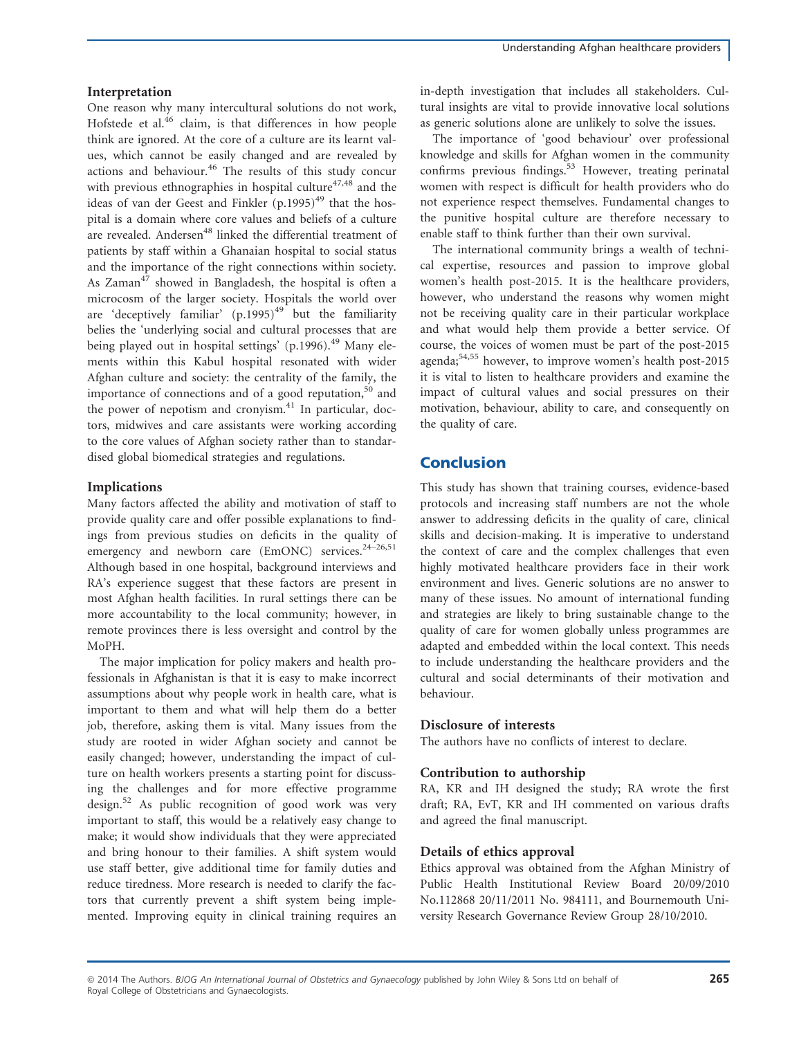### Interpretation

One reason why many intercultural solutions do not work, Hofstede et al.<sup>46</sup> claim, is that differences in how people think are ignored. At the core of a culture are its learnt values, which cannot be easily changed and are revealed by actions and behaviour.<sup>46</sup> The results of this study concur with previous ethnographies in hospital culture<sup>47,48</sup> and the ideas of van der Geest and Finkler  $(p.1995)^{49}$  that the hospital is a domain where core values and beliefs of a culture are revealed. Andersen<sup>48</sup> linked the differential treatment of patients by staff within a Ghanaian hospital to social status and the importance of the right connections within society. As Zaman<sup>47</sup> showed in Bangladesh, the hospital is often a microcosm of the larger society. Hospitals the world over are 'deceptively familiar'  $(p.1995)^{49}$  but the familiarity belies the 'underlying social and cultural processes that are being played out in hospital settings'  $(p.1996)$ .<sup>49</sup> Many elements within this Kabul hospital resonated with wider Afghan culture and society: the centrality of the family, the importance of connections and of a good reputation, $50$  and the power of nepotism and cronyism. $41$  In particular, doctors, midwives and care assistants were working according to the core values of Afghan society rather than to standardised global biomedical strategies and regulations.

### Implications

Many factors affected the ability and motivation of staff to provide quality care and offer possible explanations to findings from previous studies on deficits in the quality of emergency and newborn care (EmONC) services.<sup>24-26,51</sup> Although based in one hospital, background interviews and RA's experience suggest that these factors are present in most Afghan health facilities. In rural settings there can be more accountability to the local community; however, in remote provinces there is less oversight and control by the MoPH.

The major implication for policy makers and health professionals in Afghanistan is that it is easy to make incorrect assumptions about why people work in health care, what is important to them and what will help them do a better job, therefore, asking them is vital. Many issues from the study are rooted in wider Afghan society and cannot be easily changed; however, understanding the impact of culture on health workers presents a starting point for discussing the challenges and for more effective programme design.<sup>52</sup> As public recognition of good work was very important to staff, this would be a relatively easy change to make; it would show individuals that they were appreciated and bring honour to their families. A shift system would use staff better, give additional time for family duties and reduce tiredness. More research is needed to clarify the factors that currently prevent a shift system being implemented. Improving equity in clinical training requires an in-depth investigation that includes all stakeholders. Cultural insights are vital to provide innovative local solutions as generic solutions alone are unlikely to solve the issues.

The importance of 'good behaviour' over professional knowledge and skills for Afghan women in the community confirms previous findings.<sup>53</sup> However, treating perinatal women with respect is difficult for health providers who do not experience respect themselves. Fundamental changes to the punitive hospital culture are therefore necessary to enable staff to think further than their own survival.

The international community brings a wealth of technical expertise, resources and passion to improve global women's health post-2015. It is the healthcare providers, however, who understand the reasons why women might not be receiving quality care in their particular workplace and what would help them provide a better service. Of course, the voices of women must be part of the post-2015 agenda;<sup>54,55</sup> however, to improve women's health post-2015 it is vital to listen to healthcare providers and examine the impact of cultural values and social pressures on their motivation, behaviour, ability to care, and consequently on the quality of care.

# Conclusion

This study has shown that training courses, evidence-based protocols and increasing staff numbers are not the whole answer to addressing deficits in the quality of care, clinical skills and decision-making. It is imperative to understand the context of care and the complex challenges that even highly motivated healthcare providers face in their work environment and lives. Generic solutions are no answer to many of these issues. No amount of international funding and strategies are likely to bring sustainable change to the quality of care for women globally unless programmes are adapted and embedded within the local context. This needs to include understanding the healthcare providers and the cultural and social determinants of their motivation and behaviour.

### Disclosure of interests

The authors have no conflicts of interest to declare.

### Contribution to authorship

RA, KR and IH designed the study; RA wrote the first draft; RA, EvT, KR and IH commented on various drafts and agreed the final manuscript.

### Details of ethics approval

Ethics approval was obtained from the Afghan Ministry of Public Health Institutional Review Board 20/09/2010 No.112868 20/11/2011 No. 984111, and Bournemouth University Research Governance Review Group 28/10/2010.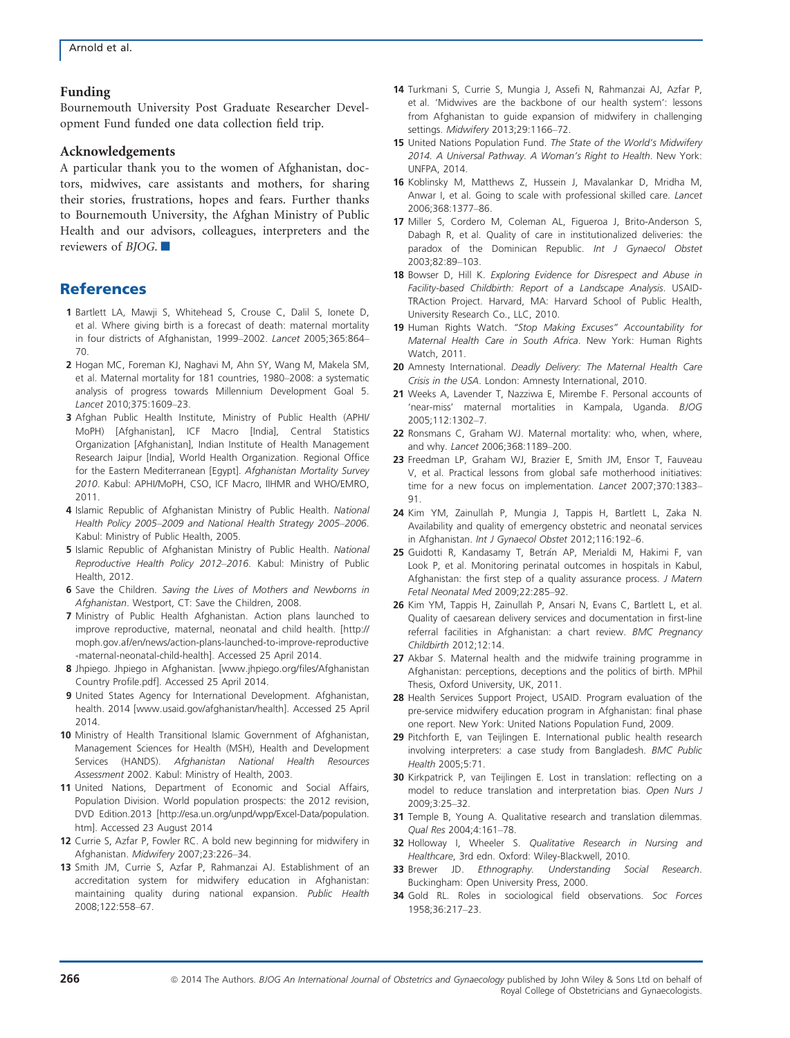### Funding

Bournemouth University Post Graduate Researcher Development Fund funded one data collection field trip.

# Acknowledgements

A particular thank you to the women of Afghanistan, doctors, midwives, care assistants and mothers, for sharing their stories, frustrations, hopes and fears. Further thanks to Bournemouth University, the Afghan Ministry of Public Health and our advisors, colleagues, interpreters and the reviewers of  $BJOG.$ 

# **References**

- 1 Bartlett LA, Mawji S, Whitehead S, Crouse C, Dalil S, Ionete D, et al. Where giving birth is a forecast of death: maternal mortality in four districts of Afghanistan, 1999–2002. Lancet 2005;365:864– 70.
- 2 Hogan MC, Foreman KJ, Naghavi M, Ahn SY, Wang M, Makela SM, et al. Maternal mortality for 181 countries, 1980–2008: a systematic analysis of progress towards Millennium Development Goal 5. Lancet 2010;375:1609–23.
- 3 Afghan Public Health Institute, Ministry of Public Health (APHI/ MoPH) [Afghanistan], ICF Macro [India], Central Statistics Organization [Afghanistan], Indian Institute of Health Management Research Jaipur [India], World Health Organization. Regional Office for the Eastern Mediterranean [Egypt]. Afghanistan Mortality Survey 2010. Kabul: APHI/MoPH, CSO, ICF Macro, IIHMR and WHO/EMRO, 2011.
- 4 Islamic Republic of Afghanistan Ministry of Public Health. National Health Policy 2005–2009 and National Health Strategy 2005–2006. Kabul: Ministry of Public Health, 2005.
- 5 Islamic Republic of Afghanistan Ministry of Public Health. National Reproductive Health Policy 2012–2016. Kabul: Ministry of Public Health, 2012.
- 6 Save the Children. Saving the Lives of Mothers and Newborns in Afghanistan. Westport, CT: Save the Children, 2008.
- 7 Ministry of Public Health Afghanistan. Action plans launched to improve reproductive, maternal, neonatal and child health. [[http://](http://www.moph.gov.af/en/news/action-plans-launched-to-improve-reproductive-maternal-neonatal-child-health) [moph.gov.af/en/news/action-plans-launched-to-improve-reproductive](http://www.moph.gov.af/en/news/action-plans-launched-to-improve-reproductive-maternal-neonatal-child-health) [-maternal-neonatal-child-health\]](http://www.moph.gov.af/en/news/action-plans-launched-to-improve-reproductive-maternal-neonatal-child-health). Accessed 25 April 2014.
- 8 Jhpiego. Jhpiego in Afghanistan. [\[www.jhpiego.org/files/Afghanistan](http://www.jhpiego.org/files/AfghanistanCountry) [Country Profile.pdf\]](http://www.jhpiego.org/files/AfghanistanCountry). Accessed 25 April 2014.
- 9 United States Agency for International Development. Afghanistan, health. 2014 [[www.usaid.gov/afghanistan/health](http://www.usaid.gov/afghanistan/health)]. Accessed 25 April 2014.
- 10 Ministry of Health Transitional Islamic Government of Afghanistan, Management Sciences for Health (MSH), Health and Development Services (HANDS). Afghanistan National Health Resources Assessment 2002. Kabul: Ministry of Health, 2003.
- 11 United Nations, Department of Economic and Social Affairs, Population Division. World population prospects: the 2012 revision, DVD Edition.2013 [\[http://esa.un.org/unpd/wpp/Excel-Data/population.](http://www.esa.un.org/unpd/wpp/Excel-Data/population.htm) [htm](http://www.esa.un.org/unpd/wpp/Excel-Data/population.htm)]. Accessed 23 August 2014
- 12 Currie S, Azfar P, Fowler RC. A bold new beginning for midwifery in Afghanistan. Midwifery 2007;23:226–34.
- 13 Smith JM, Currie S, Azfar P, Rahmanzai AJ. Establishment of an accreditation system for midwifery education in Afghanistan: maintaining quality during national expansion. Public Health 2008;122:558–67.
- 14 Turkmani S, Currie S, Mungia J, Assefi N, Rahmanzai AJ, Azfar P, et al. 'Midwives are the backbone of our health system': lessons from Afghanistan to guide expansion of midwifery in challenging settings. Midwifery 2013;29:1166–72.
- 15 United Nations Population Fund. The State of the World's Midwiferv 2014. A Universal Pathway. A Woman's Right to Health. New York: UNFPA, 2014.
- 16 Koblinsky M, Matthews Z, Hussein J, Mavalankar D, Mridha M, Anwar I, et al. Going to scale with professional skilled care. Lancet 2006;368:1377–86.
- 17 Miller S, Cordero M, Coleman AL, Figueroa J, Brito-Anderson S, Dabagh R, et al. Quality of care in institutionalized deliveries: the paradox of the Dominican Republic. Int J Gynaecol Obstet 2003;82:89–103.
- 18 Bowser D, Hill K. Exploring Evidence for Disrespect and Abuse in Facility-based Childbirth: Report of a Landscape Analysis. USAID-TRAction Project. Harvard, MA: Harvard School of Public Health, University Research Co., LLC, 2010.
- 19 Human Rights Watch. "Stop Making Excuses" Accountability for Maternal Health Care in South Africa. New York: Human Rights Watch, 2011.
- 20 Amnesty International. Deadly Delivery: The Maternal Health Care Crisis in the USA. London: Amnesty International, 2010.
- 21 Weeks A, Lavender T, Nazziwa E, Mirembe F. Personal accounts of 'near-miss' maternal mortalities in Kampala, Uganda. BJOG 2005;112:1302–7.
- 22 Ronsmans C, Graham WJ. Maternal mortality: who, when, where, and why. Lancet 2006;368:1189–200.
- 23 Freedman LP, Graham WJ, Brazier E, Smith JM, Ensor T, Fauveau V, et al. Practical lessons from global safe motherhood initiatives: time for a new focus on implementation. Lancet 2007;370:1383– 91.
- 24 Kim YM, Zainullah P, Mungia J, Tappis H, Bartlett L, Zaka N. Availability and quality of emergency obstetric and neonatal services in Afghanistan. Int J Gynaecol Obstet 2012;116:192–6.
- 25 Guidotti R, Kandasamy T, Betrán AP, Merialdi M, Hakimi F, van Look P, et al. Monitoring perinatal outcomes in hospitals in Kabul, Afghanistan: the first step of a quality assurance process. J Matern Fetal Neonatal Med 2009;22:285–92.
- 26 Kim YM, Tappis H, Zainullah P, Ansari N, Evans C, Bartlett L, et al. Quality of caesarean delivery services and documentation in first-line referral facilities in Afghanistan: a chart review. BMC Pregnancy Childbirth 2012;12:14.
- 27 Akbar S. Maternal health and the midwife training programme in Afghanistan: perceptions, deceptions and the politics of birth. MPhil Thesis, Oxford University, UK, 2011.
- 28 Health Services Support Project, USAID. Program evaluation of the pre-service midwifery education program in Afghanistan: final phase one report. New York: United Nations Population Fund, 2009.
- 29 Pitchforth E, van Teijlingen E. International public health research involving interpreters: a case study from Bangladesh. BMC Public Health 2005;5:71.
- 30 Kirkpatrick P, van Teijlingen E. Lost in translation: reflecting on a model to reduce translation and interpretation bias. Open Nurs J 2009;3:25–32.
- 31 Temple B, Young A. Qualitative research and translation dilemmas. Qual Res 2004;4:161–78.
- 32 Holloway I, Wheeler S. Qualitative Research in Nursing and Healthcare, 3rd edn. Oxford: Wiley-Blackwell, 2010.
- 33 Brewer JD. Ethnography. Understanding Social Research. Buckingham: Open University Press, 2000.
- 34 Gold RL. Roles in sociological field observations. Soc Forces 1958;36:217–23.